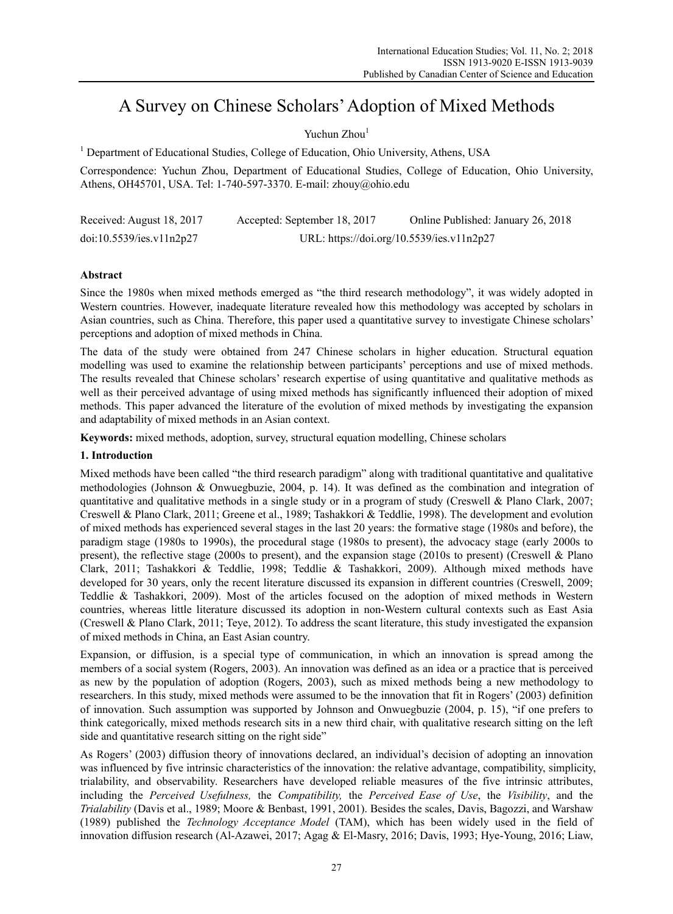# A Survey on Chinese Scholars' Adoption of Mixed Methods

Yuchun Zhou<sup>1</sup>

<sup>1</sup> Department of Educational Studies, College of Education, Ohio University, Athens, USA

Correspondence: Yuchun Zhou, Department of Educational Studies, College of Education, Ohio University, Athens, OH45701, USA. Tel: 1-740-597-3370. E-mail: zhouy@ohio.edu

| Received: August 18, 2017 | Accepted: September 18, 2017 | Online Published: January 26, 2018        |
|---------------------------|------------------------------|-------------------------------------------|
| doi:10.5539/ies.v11n2p27  |                              | URL: https://doi.org/10.5539/ies.v11n2p27 |

# **Abstract**

Since the 1980s when mixed methods emerged as "the third research methodology", it was widely adopted in Western countries. However, inadequate literature revealed how this methodology was accepted by scholars in Asian countries, such as China. Therefore, this paper used a quantitative survey to investigate Chinese scholars' perceptions and adoption of mixed methods in China.

The data of the study were obtained from 247 Chinese scholars in higher education. Structural equation modelling was used to examine the relationship between participants' perceptions and use of mixed methods. The results revealed that Chinese scholars' research expertise of using quantitative and qualitative methods as well as their perceived advantage of using mixed methods has significantly influenced their adoption of mixed methods. This paper advanced the literature of the evolution of mixed methods by investigating the expansion and adaptability of mixed methods in an Asian context.

**Keywords:** mixed methods, adoption, survey, structural equation modelling, Chinese scholars

## **1. Introduction**

Mixed methods have been called "the third research paradigm" along with traditional quantitative and qualitative methodologies (Johnson & Onwuegbuzie, 2004, p. 14). It was defined as the combination and integration of quantitative and qualitative methods in a single study or in a program of study (Creswell & Plano Clark, 2007; Creswell & Plano Clark, 2011; Greene et al., 1989; Tashakkori & Teddlie, 1998). The development and evolution of mixed methods has experienced several stages in the last 20 years: the formative stage (1980s and before), the paradigm stage (1980s to 1990s), the procedural stage (1980s to present), the advocacy stage (early 2000s to present), the reflective stage (2000s to present), and the expansion stage (2010s to present) (Creswell & Plano Clark, 2011; Tashakkori & Teddlie, 1998; Teddlie & Tashakkori, 2009). Although mixed methods have developed for 30 years, only the recent literature discussed its expansion in different countries (Creswell, 2009; Teddlie & Tashakkori, 2009). Most of the articles focused on the adoption of mixed methods in Western countries, whereas little literature discussed its adoption in non-Western cultural contexts such as East Asia (Creswell & Plano Clark, 2011; Teye, 2012). To address the scant literature, this study investigated the expansion of mixed methods in China, an East Asian country.

Expansion, or diffusion, is a special type of communication, in which an innovation is spread among the members of a social system (Rogers, 2003). An innovation was defined as an idea or a practice that is perceived as new by the population of adoption (Rogers, 2003), such as mixed methods being a new methodology to researchers. In this study, mixed methods were assumed to be the innovation that fit in Rogers' (2003) definition of innovation. Such assumption was supported by Johnson and Onwuegbuzie (2004, p. 15), "if one prefers to think categorically, mixed methods research sits in a new third chair, with qualitative research sitting on the left side and quantitative research sitting on the right side"

As Rogers' (2003) diffusion theory of innovations declared, an individual's decision of adopting an innovation was influenced by five intrinsic characteristics of the innovation: the relative advantage, compatibility, simplicity, trialability, and observability. Researchers have developed reliable measures of the five intrinsic attributes, including the *Perceived Usefulness,* the *Compatibility,* the *Perceived Ease of Use*, the *Visibility*, and the *Trialability* (Davis et al., 1989; Moore & Benbast, 1991, 2001). Besides the scales, Davis, Bagozzi, and Warshaw (1989) published the *Technology Acceptance Model* (TAM), which has been widely used in the field of innovation diffusion research (Al-Azawei, 2017; Agag & El-Masry, 2016; Davis, 1993; Hye-Young, 2016; Liaw,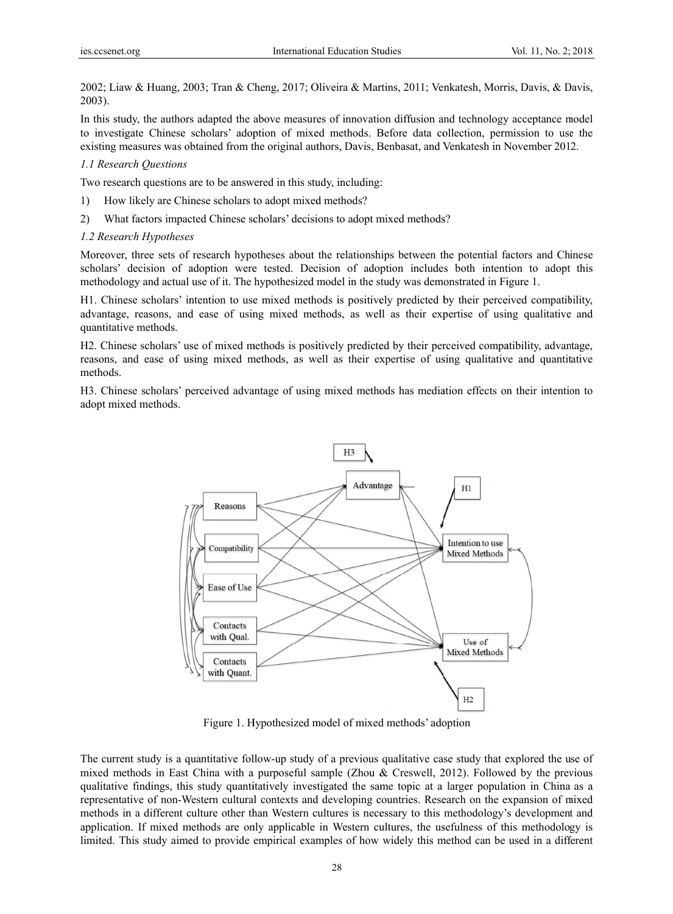2002; Liaw & Huang, 2003; Tran & Cheng, 2017; Oliveira & Martins, 2011; Venkatesh, Morris, Davis, & Davis,  $2003$ ).

In this study, the authors adapted the above measures of innovation diffusion and technology acceptance model to investigate Chinese scholars' adoption of mixed methods. Before data collection, permission to use the existing measures was obtained from the original authors, Davis, Benbasat, and Venkatesh in November 2012.

#### 1.1 Research Ouestions

Two research questions are to be answered in this study, including:

- $1)$ How likely are Chinese scholars to adopt mixed methods?
- What factors impacted Chinese scholars' decisions to adopt mixed methods?  $(2)$

## 1.2 Research Hypotheses

Moreover, three sets of research hypotheses about the relationships between the potential factors and Chinese scholars' decision of adoption were tested. Decision of adoption includes both intention to adopt this methodology and actual use of it. The hypothesized model in the study was demonstrated in Figure 1.

H1. Chinese scholars' intention to use mixed methods is positively predicted by their perceived compatibility, advantage, reasons, and ease of using mixed methods, as well as their expertise of using qualitative and quantitative methods.

H2. Chinese scholars' use of mixed methods is positively predicted by their perceived compatibility, advantage, reasons, and ease of using mixed methods, as well as their expertise of using qualitative and quantitative methods.

H3. Chinese scholars' perceived advantage of using mixed methods has mediation effects on their intention to adopt mixed methods.



Figure 1. Hypothesized model of mixed methods' adoption

The current study is a quantitative follow-up study of a previous qualitative case study that explored the use of mixed methods in East China with a purposeful sample (Zhou & Creswell, 2012). Followed by the previous qualitative findings, this study quantitatively investigated the same topic at a larger population in China as a representative of non-Western cultural contexts and developing countries. Research on the expansion of mixed methods in a different culture other than Western cultures is necessary to this methodology's development and application. If mixed methods are only applicable in Western cultures, the usefulness of this methodology is limited. This study aimed to provide empirical examples of how widely this method can be used in a different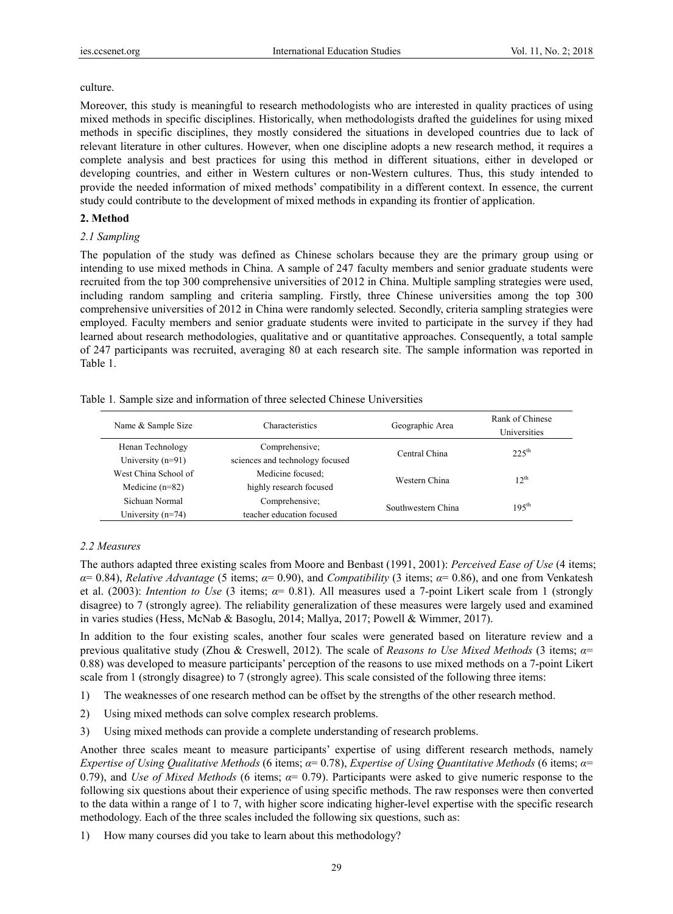## culture.

Moreover, this study is meaningful to research methodologists who are interested in quality practices of using mixed methods in specific disciplines. Historically, when methodologists drafted the guidelines for using mixed methods in specific disciplines, they mostly considered the situations in developed countries due to lack of relevant literature in other cultures. However, when one discipline adopts a new research method, it requires a complete analysis and best practices for using this method in different situations, either in developed or developing countries, and either in Western cultures or non-Western cultures. Thus, this study intended to provide the needed information of mixed methods' compatibility in a different context. In essence, the current study could contribute to the development of mixed methods in expanding its frontier of application.

## **2. Method**

## *2.1 Sampling*

The population of the study was defined as Chinese scholars because they are the primary group using or intending to use mixed methods in China. A sample of 247 faculty members and senior graduate students were recruited from the top 300 comprehensive universities of 2012 in China. Multiple sampling strategies were used, including random sampling and criteria sampling. Firstly, three Chinese universities among the top 300 comprehensive universities of 2012 in China were randomly selected. Secondly, criteria sampling strategies were employed. Faculty members and senior graduate students were invited to participate in the survey if they had learned about research methodologies, qualitative and or quantitative approaches. Consequently, a total sample of 247 participants was recruited, averaging 80 at each research site. The sample information was reported in Table 1.

| Table 1. Sample size and information of three selected Chinese Universities |
|-----------------------------------------------------------------------------|
|-----------------------------------------------------------------------------|

| Name & Sample Size   | <b>Characteristics</b>          | Geographic Area    | Rank of Chinese<br>Universities |  |
|----------------------|---------------------------------|--------------------|---------------------------------|--|
| Henan Technology     | Comprehensive;                  | Central China      | $22.5^{\text{th}}$              |  |
| University $(n=91)$  | sciences and technology focused |                    |                                 |  |
| West China School of | Medicine focused;               | Western China      | $12^{th}$                       |  |
| Medicine $(n=82)$    | highly research focused         |                    |                                 |  |
| Sichuan Normal       | Comprehensive;                  | Southwestern China | $195^{th}$                      |  |
| University $(n=74)$  | teacher education focused       |                    |                                 |  |

## *2.2 Measures*

The authors adapted three existing scales from Moore and Benbast (1991, 2001): *Perceived Ease of Use* (4 items; *α*= 0.84), *Relative Advantage* (5 items; *α*= 0.90), and *Compatibility* (3 items; *α*= 0.86), and one from Venkatesh et al. (2003): *Intention to Use* (3 items; *α*= 0.81). All measures used a 7-point Likert scale from 1 (strongly disagree) to 7 (strongly agree). The reliability generalization of these measures were largely used and examined in varies studies (Hess, McNab & Basoglu, 2014; Mallya, 2017; Powell & Wimmer, 2017).

In addition to the four existing scales, another four scales were generated based on literature review and a previous qualitative study (Zhou & Creswell, 2012). The scale of *Reasons to Use Mixed Methods* (3 items; *α*= 0.88) was developed to measure participants' perception of the reasons to use mixed methods on a 7-point Likert scale from 1 (strongly disagree) to 7 (strongly agree). This scale consisted of the following three items:

- 1) The weaknesses of one research method can be offset by the strengths of the other research method.
- 2) Using mixed methods can solve complex research problems.
- 3) Using mixed methods can provide a complete understanding of research problems.

Another three scales meant to measure participants' expertise of using different research methods, namely *Expertise of Using Qualitative Methods* (6 items; *α*= 0.78), *Expertise of Using Quantitative Methods* (6 items; *α*= 0.79), and *Use of Mixed Methods* (6 items; *α*= 0.79). Participants were asked to give numeric response to the following six questions about their experience of using specific methods. The raw responses were then converted to the data within a range of 1 to 7, with higher score indicating higher-level expertise with the specific research methodology. Each of the three scales included the following six questions, such as:

1) How many courses did you take to learn about this methodology?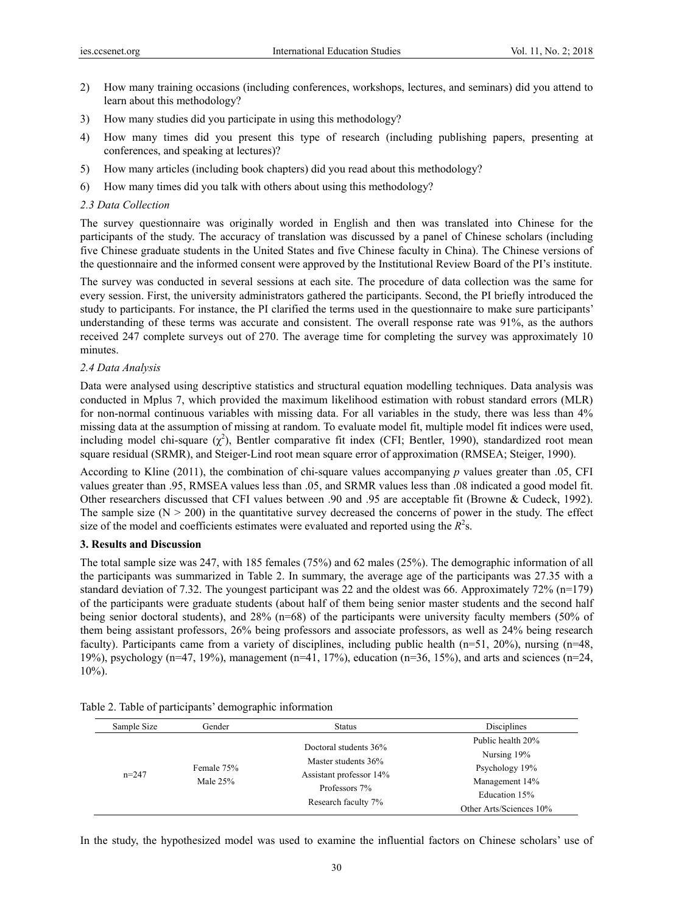- 2) How many training occasions (including conferences, workshops, lectures, and seminars) did you attend to learn about this methodology?
- 3) How many studies did you participate in using this methodology?
- 4) How many times did you present this type of research (including publishing papers, presenting at conferences, and speaking at lectures)?
- 5) How many articles (including book chapters) did you read about this methodology?
- 6) How many times did you talk with others about using this methodology?

## *2.3 Data Collection*

The survey questionnaire was originally worded in English and then was translated into Chinese for the participants of the study. The accuracy of translation was discussed by a panel of Chinese scholars (including five Chinese graduate students in the United States and five Chinese faculty in China). The Chinese versions of the questionnaire and the informed consent were approved by the Institutional Review Board of the PI's institute.

The survey was conducted in several sessions at each site. The procedure of data collection was the same for every session. First, the university administrators gathered the participants. Second, the PI briefly introduced the study to participants. For instance, the PI clarified the terms used in the questionnaire to make sure participants' understanding of these terms was accurate and consistent. The overall response rate was 91%, as the authors received 247 complete surveys out of 270. The average time for completing the survey was approximately 10 minutes.

## *2.4 Data Analysis*

Data were analysed using descriptive statistics and structural equation modelling techniques. Data analysis was conducted in Mplus 7, which provided the maximum likelihood estimation with robust standard errors (MLR) for non-normal continuous variables with missing data. For all variables in the study, there was less than 4% missing data at the assumption of missing at random. To evaluate model fit, multiple model fit indices were used, including model chi-square  $(\chi^2)$ , Bentler comparative fit index (CFI; Bentler, 1990), standardized root mean square residual (SRMR), and Steiger-Lind root mean square error of approximation (RMSEA; Steiger, 1990).

According to Kline (2011), the combination of chi-square values accompanying *p* values greater than .05, CFI values greater than .95, RMSEA values less than .05, and SRMR values less than .08 indicated a good model fit. Other researchers discussed that CFI values between .90 and .95 are acceptable fit (Browne & Cudeck, 1992). The sample size  $(N > 200)$  in the quantitative survey decreased the concerns of power in the study. The effect size of the model and coefficients estimates were evaluated and reported using the  $R^2$ s.

## **3. Results and Discussion**

The total sample size was 247, with 185 females (75%) and 62 males (25%). The demographic information of all the participants was summarized in Table 2. In summary, the average age of the participants was 27.35 with a standard deviation of 7.32. The youngest participant was 22 and the oldest was 66. Approximately 72% (n=179) of the participants were graduate students (about half of them being senior master students and the second half being senior doctoral students), and 28% (n=68) of the participants were university faculty members (50% of them being assistant professors, 26% being professors and associate professors, as well as 24% being research faculty). Participants came from a variety of disciplines, including public health (n=51, 20%), nursing (n=48, 19%), psychology (n=47, 19%), management (n=41, 17%), education (n=36, 15%), and arts and sciences (n=24, 10%).

| Sample Size | Gender                                | Status                  | <b>Disciplines</b>      |
|-------------|---------------------------------------|-------------------------|-------------------------|
|             |                                       | Doctoral students 36%   | Public health 20%       |
|             | Female 75%<br>$n = 247$<br>Male $25%$ | Master students 36%     | Nursing 19%             |
|             |                                       | Assistant professor 14% | Psychology 19%          |
|             |                                       | Professors 7%           | Management 14%          |
|             |                                       |                         | Education 15%           |
|             |                                       | Research faculty 7%     | Other Arts/Sciences 10% |

In the study, the hypothesized model was used to examine the influential factors on Chinese scholars' use of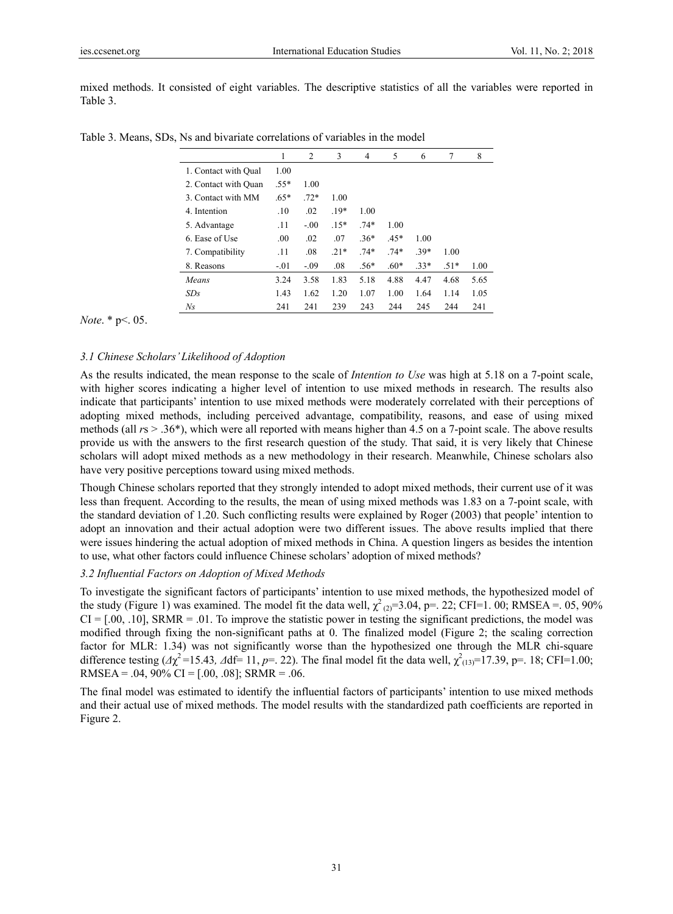| mixed methods. It consisted of eight variables. The descriptive statistics of all the variables were reported in |  |  |  |  |  |  |
|------------------------------------------------------------------------------------------------------------------|--|--|--|--|--|--|
| Table 3.                                                                                                         |  |  |  |  |  |  |

|                      | 1      | 2      | 3      | 4      | 5      | 6      | 7      | 8    |
|----------------------|--------|--------|--------|--------|--------|--------|--------|------|
| 1. Contact with Oual | 1.00   |        |        |        |        |        |        |      |
| 2. Contact with Quan | $.55*$ | 1.00   |        |        |        |        |        |      |
| 3. Contact with MM   | $.65*$ | $.72*$ | 1.00   |        |        |        |        |      |
| 4. Intention         | .10    | .02    | $.19*$ | 1.00   |        |        |        |      |
| 5. Advantage         | .11    | $-.00$ | $.15*$ | $.74*$ | 1.00   |        |        |      |
| 6. Ease of Use       | .00.   | .02    | .07    | $.36*$ | $.45*$ | 1.00   |        |      |
| 7. Compatibility     | .11    | .08    | $.21*$ | $.74*$ | $.74*$ | $39*$  | 1.00   |      |
| 8. Reasons           | $-.01$ | $-.09$ | .08    | $.56*$ | $.60*$ | $.33*$ | $.51*$ | 1.00 |
| Means                | 3.24   | 3.58   | 1.83   | 5.18   | 4.88   | 4.47   | 4.68   | 5.65 |
| <i>SDs</i>           | 1.43   | 1.62   | 1.20   | 1.07   | 1.00   | 1.64   | 1.14   | 1.05 |
| Ns                   | 241    | 241    | 239    | 243    | 244    | 245    | 244    | 241  |
|                      |        |        |        |        |        |        |        |      |

Table 3. Means, SDs, Ns and bivariate correlations of variables in the model

*Note*. \* p<. 05.

## *3.1 Chinese Scholars' Likelihood of Adoption*

As the results indicated, the mean response to the scale of *Intention to Use* was high at 5.18 on a 7-point scale, with higher scores indicating a higher level of intention to use mixed methods in research. The results also indicate that participants' intention to use mixed methods were moderately correlated with their perceptions of adopting mixed methods, including perceived advantage, compatibility, reasons, and ease of using mixed methods (all *r*s > .36\*), which were all reported with means higher than 4.5 on a 7-point scale. The above results provide us with the answers to the first research question of the study. That said, it is very likely that Chinese scholars will adopt mixed methods as a new methodology in their research. Meanwhile, Chinese scholars also have very positive perceptions toward using mixed methods.

Though Chinese scholars reported that they strongly intended to adopt mixed methods, their current use of it was less than frequent. According to the results, the mean of using mixed methods was 1.83 on a 7-point scale, with the standard deviation of 1.20. Such conflicting results were explained by Roger (2003) that people' intention to adopt an innovation and their actual adoption were two different issues. The above results implied that there were issues hindering the actual adoption of mixed methods in China. A question lingers as besides the intention to use, what other factors could influence Chinese scholars' adoption of mixed methods?

## *3.2 Influential Factors on Adoption of Mixed Methods*

To investigate the significant factors of participants' intention to use mixed methods, the hypothesized model of the study (Figure 1) was examined. The model fit the data well,  $\chi^2_{(2)}=3.04$ , p=. 22; CFI=1. 00; RMSEA = .05, 90%  $CI = [.00, .10]$ , SRMR = .01. To improve the statistic power in testing the significant predictions, the model was modified through fixing the non-significant paths at 0. The finalized model (Figure 2; the scaling correction factor for MLR: 1.34) was not significantly worse than the hypothesized one through the MLR chi-square difference testing ( $\Delta \chi^2$ =15.43,  $\Delta$ df= 11, *p*=. 22). The final model fit the data well,  $\chi^2_{(13)}$ =17.39, p=. 18; CFI=1.00; RMSEA = .04,  $90\%$  CI = [.00, .08]; SRMR = .06.

The final model was estimated to identify the influential factors of participants' intention to use mixed methods and their actual use of mixed methods. The model results with the standardized path coefficients are reported in Figure 2.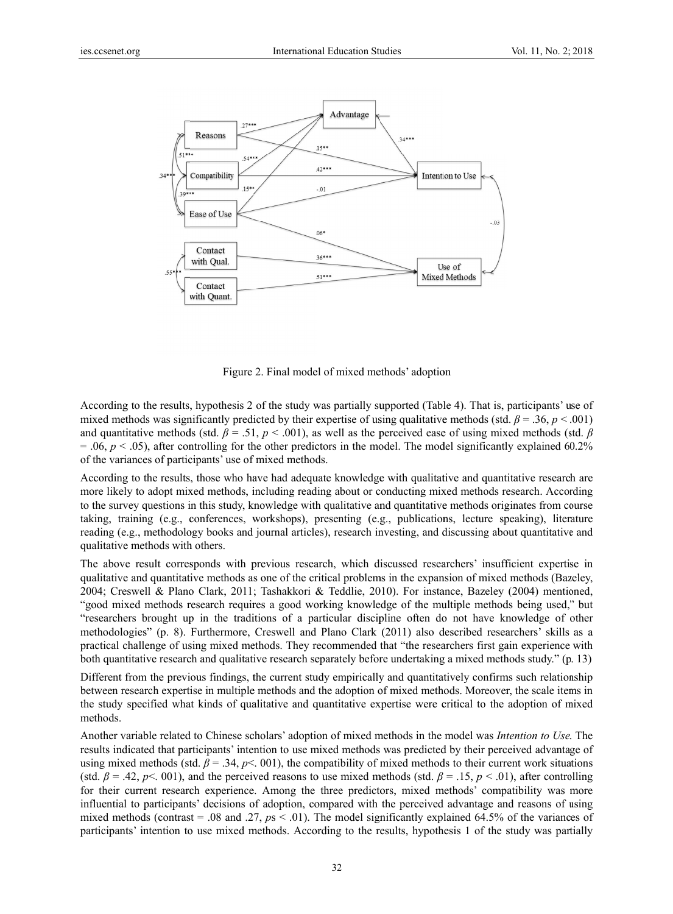

Figure 2. Final model of mixed methods' adoption

According to the results, hypothesis 2 of the study was partially supported (Table 4). That is, participants' use of mixed methods was significantly predicted by their expertise of using qualitative methods (std.  $\beta$  = .36,  $p$  < .001) and quantitative methods (std.  $\beta$  = .51, p < .001), as well as the perceived ease of using mixed methods (std.  $\beta$  $=$  .06,  $p <$  .05), after controlling for the other predictors in the model. The model significantly explained 60.2% of the variances of participants' use of mixed methods.

According to the results, those who have had adequate knowledge with qualitative and quantitative research are more likely to adopt mixed methods, including reading about or conducting mixed methods research. According to the survey questions in this study, knowledge with qualitative and quantitative methods originates from course taking, training (e.g., conferences, workshops), presenting (e.g., publications, lecture speaking), literature reading (e.g., methodology books and journal articles), research investing, and discussing about quantitative and qualitative methods with others.

The above result corresponds with previous research, which discussed researchers' insufficient expertise in qualitative and quantitative methods as one of the critical problems in the expansion of mixed methods (Bazeley, 2004; Creswell & Plano Clark, 2011; Tashakkori & Teddlie, 2010). For instance, Bazeley (2004) mentioned, "good mixed methods research requires a good working knowledge of the multiple methods being used," but "researchers brought up in the traditions of a particular discipline often do not have knowledge of other methodologies" (p. 8). Furthermore, Creswell and Plano Clark (2011) also described researchers' skills as a practical challenge of using mixed methods. They recommended that "the researchers first gain experience with both quantitative research and qualitative research separately before undertaking a mixed methods study." (p. 13)

Different from the previous findings, the current study empirically and quantitatively confirms such relationship between research expertise in multiple methods and the adoption of mixed methods. Moreover, the scale items in the study specified what kinds of qualitative and quantitative expertise were critical to the adoption of mixed methods.

Another variable related to Chinese scholars' adoption of mixed methods in the model was Intention to Use. The results indicated that participants' intention to use mixed methods was predicted by their perceived advantage of using mixed methods (std.  $\beta = .34$ ,  $p < .001$ ), the compatibility of mixed methods to their current work situations (std.  $\beta = .42, p < 001$ ), and the perceived reasons to use mixed methods (std.  $\beta = .15, p < .01$ ), after controlling for their current research experience. Among the three predictors, mixed methods' compatibility was more influential to participants' decisions of adoption, compared with the perceived advantage and reasons of using mixed methods (contrast = .08 and .27,  $ps < .01$ ). The model significantly explained 64.5% of the variances of participants' intention to use mixed methods. According to the results, hypothesis 1 of the study was partially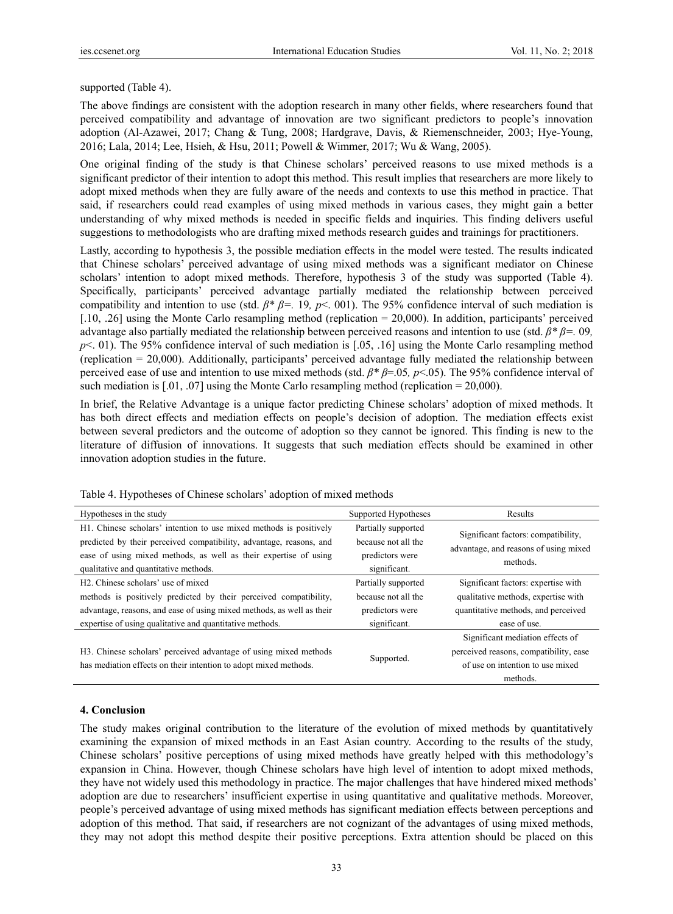supported (Table 4).

The above findings are consistent with the adoption research in many other fields, where researchers found that perceived compatibility and advantage of innovation are two significant predictors to people's innovation adoption (Al-Azawei, 2017; Chang & Tung, 2008; Hardgrave, Davis, & Riemenschneider, 2003; Hye-Young, 2016; Lala, 2014; Lee, Hsieh, & Hsu, 2011; Powell & Wimmer, 2017; Wu & Wang, 2005).

One original finding of the study is that Chinese scholars' perceived reasons to use mixed methods is a significant predictor of their intention to adopt this method. This result implies that researchers are more likely to adopt mixed methods when they are fully aware of the needs and contexts to use this method in practice. That said, if researchers could read examples of using mixed methods in various cases, they might gain a better understanding of why mixed methods is needed in specific fields and inquiries. This finding delivers useful suggestions to methodologists who are drafting mixed methods research guides and trainings for practitioners.

Lastly, according to hypothesis 3, the possible mediation effects in the model were tested. The results indicated that Chinese scholars' perceived advantage of using mixed methods was a significant mediator on Chinese scholars' intention to adopt mixed methods. Therefore, hypothesis 3 of the study was supported (Table 4). Specifically, participants' perceived advantage partially mediated the relationship between perceived compatibility and intention to use (std. *β\* β=.* 19*, p*<. 001). The 95% confidence interval of such mediation is [.10, .26] using the Monte Carlo resampling method (replication = 20,000). In addition, participants' perceived advantage also partially mediated the relationship between perceived reasons and intention to use (std. *β\* β=.* 09*, p*<. 01). The 95% confidence interval of such mediation is [.05, .16] using the Monte Carlo resampling method (replication = 20,000). Additionally, participants' perceived advantage fully mediated the relationship between perceived ease of use and intention to use mixed methods (std. *β\* β*=.05*, p*<.05). The 95% confidence interval of such mediation is  $[0.01, 0.07]$  using the Monte Carlo resampling method (replication = 20,000).

In brief, the Relative Advantage is a unique factor predicting Chinese scholars' adoption of mixed methods. It has both direct effects and mediation effects on people's decision of adoption. The mediation effects exist between several predictors and the outcome of adoption so they cannot be ignored. This finding is new to the literature of diffusion of innovations. It suggests that such mediation effects should be examined in other innovation adoption studies in the future.

| Hypotheses in the study                                                                                                                                                                                                                                | Supported Hypotheses                                                          | Results                                                                                  |
|--------------------------------------------------------------------------------------------------------------------------------------------------------------------------------------------------------------------------------------------------------|-------------------------------------------------------------------------------|------------------------------------------------------------------------------------------|
| H1. Chinese scholars' intention to use mixed methods is positively<br>predicted by their perceived compatibility, advantage, reasons, and<br>ease of using mixed methods, as well as their expertise of using<br>qualitative and quantitative methods. | Partially supported<br>because not all the<br>predictors were<br>significant. | Significant factors: compatibility,<br>advantage, and reasons of using mixed<br>methods. |
| H <sub>2</sub> . Chinese scholars' use of mixed                                                                                                                                                                                                        | Partially supported                                                           | Significant factors: expertise with                                                      |
| methods is positively predicted by their perceived compatibility,                                                                                                                                                                                      | because not all the                                                           | qualitative methods, expertise with                                                      |
| advantage, reasons, and ease of using mixed methods, as well as their                                                                                                                                                                                  | predictors were                                                               | quantitative methods, and perceived                                                      |
| expertise of using qualitative and quantitative methods.                                                                                                                                                                                               | significant.                                                                  | ease of use.                                                                             |
|                                                                                                                                                                                                                                                        |                                                                               | Significant mediation effects of                                                         |
| H <sub>3</sub> . Chinese scholars' perceived advantage of using mixed methods                                                                                                                                                                          | Supported.                                                                    | perceived reasons, compatibility, ease                                                   |
| has mediation effects on their intention to adopt mixed methods.                                                                                                                                                                                       |                                                                               | of use on intention to use mixed                                                         |
|                                                                                                                                                                                                                                                        |                                                                               | methods.                                                                                 |

Table 4. Hypotheses of Chinese scholars' adoption of mixed methods

## **4. Conclusion**

The study makes original contribution to the literature of the evolution of mixed methods by quantitatively examining the expansion of mixed methods in an East Asian country. According to the results of the study, Chinese scholars' positive perceptions of using mixed methods have greatly helped with this methodology's expansion in China. However, though Chinese scholars have high level of intention to adopt mixed methods, they have not widely used this methodology in practice. The major challenges that have hindered mixed methods' adoption are due to researchers' insufficient expertise in using quantitative and qualitative methods. Moreover, people's perceived advantage of using mixed methods has significant mediation effects between perceptions and adoption of this method. That said, if researchers are not cognizant of the advantages of using mixed methods, they may not adopt this method despite their positive perceptions. Extra attention should be placed on this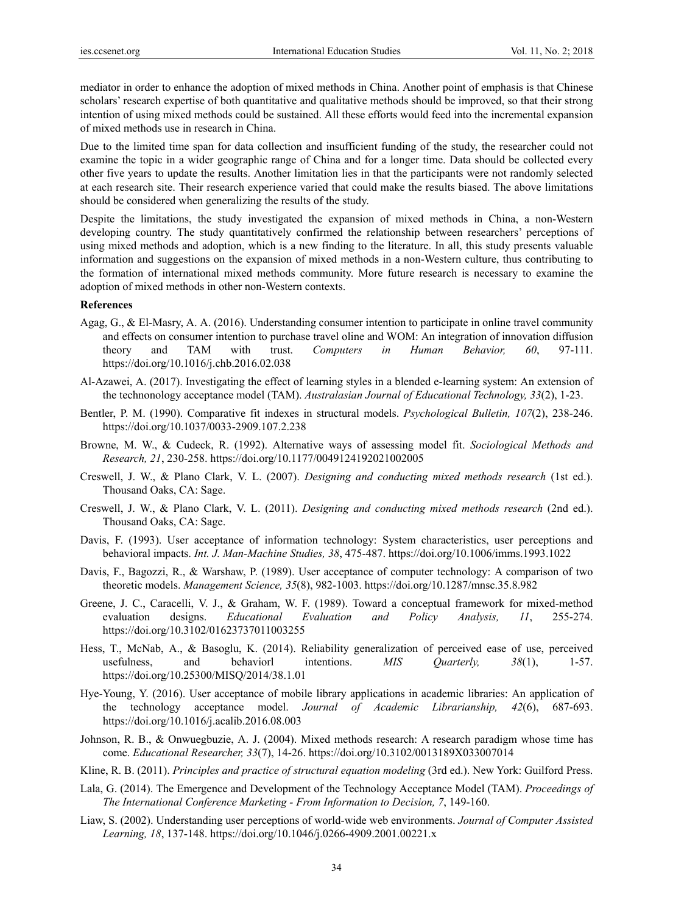mediator in order to enhance the adoption of mixed methods in China. Another point of emphasis is that Chinese scholars' research expertise of both quantitative and qualitative methods should be improved, so that their strong intention of using mixed methods could be sustained. All these efforts would feed into the incremental expansion of mixed methods use in research in China.

Due to the limited time span for data collection and insufficient funding of the study, the researcher could not examine the topic in a wider geographic range of China and for a longer time. Data should be collected every other five years to update the results. Another limitation lies in that the participants were not randomly selected at each research site. Their research experience varied that could make the results biased. The above limitations should be considered when generalizing the results of the study.

Despite the limitations, the study investigated the expansion of mixed methods in China, a non-Western developing country. The study quantitatively confirmed the relationship between researchers' perceptions of using mixed methods and adoption, which is a new finding to the literature. In all, this study presents valuable information and suggestions on the expansion of mixed methods in a non-Western culture, thus contributing to the formation of international mixed methods community. More future research is necessary to examine the adoption of mixed methods in other non-Western contexts.

## **References**

- Agag, G., & El-Masry, A. A. (2016). Understanding consumer intention to participate in online travel community and effects on consumer intention to purchase travel oline and WOM: An integration of innovation diffusion theory and TAM with trust. *Computers in Human Behavior, 60*, 97-111. https://doi.org/10.1016/j.chb.2016.02.038
- Al-Azawei, A. (2017). Investigating the effect of learning styles in a blended e-learning system: An extension of the technonology acceptance model (TAM). *Australasian Journal of Educational Technology, 33*(2), 1-23.
- Bentler, P. M. (1990). Comparative fit indexes in structural models. *Psychological Bulletin, 107*(2), 238-246. https://doi.org/10.1037/0033-2909.107.2.238
- Browne, M. W., & Cudeck, R. (1992). Alternative ways of assessing model fit. *Sociological Methods and Research, 21*, 230-258. https://doi.org/10.1177/0049124192021002005
- Creswell, J. W., & Plano Clark, V. L. (2007). *Designing and conducting mixed methods research* (1st ed.). Thousand Oaks, CA: Sage.
- Creswell, J. W., & Plano Clark, V. L. (2011). *Designing and conducting mixed methods research* (2nd ed.). Thousand Oaks, CA: Sage.
- Davis, F. (1993). User acceptance of information technology: System characteristics, user perceptions and behavioral impacts. *Int. J. Man-Machine Studies, 38*, 475-487. https://doi.org/10.1006/imms.1993.1022
- Davis, F., Bagozzi, R., & Warshaw, P. (1989). User acceptance of computer technology: A comparison of two theoretic models. *Management Science, 35*(8), 982-1003. https://doi.org/10.1287/mnsc.35.8.982
- Greene, J. C., Caracelli, V. J., & Graham, W. F. (1989). Toward a conceptual framework for mixed-method evaluation designs. *Educational Evaluation and Policy Analysis, 11*, 255-274. https://doi.org/10.3102/01623737011003255
- Hess, T., McNab, A., & Basoglu, K. (2014). Reliability generalization of perceived ease of use, perceived usefulness, and behaviorl intentions. *MIS Quarterly, 38*(1), 1-57. https://doi.org/10.25300/MISQ/2014/38.1.01
- Hye-Young, Y. (2016). User acceptance of mobile library applications in academic libraries: An application of the technology acceptance model. *Journal of Academic Librarianship, 42*(6), 687-693. https://doi.org/10.1016/j.acalib.2016.08.003
- Johnson, R. B., & Onwuegbuzie, A. J. (2004). Mixed methods research: A research paradigm whose time has come. *Educational Researcher, 33*(7), 14-26. https://doi.org/10.3102/0013189X033007014
- Kline, R. B. (2011). *Principles and practice of structural equation modeling* (3rd ed.). New York: Guilford Press.
- Lala, G. (2014). The Emergence and Development of the Technology Acceptance Model (TAM). *Proceedings of The International Conference Marketing - From Information to Decision, 7*, 149-160.
- Liaw, S. (2002). Understanding user perceptions of world-wide web environments. *Journal of Computer Assisted Learning, 18*, 137-148. https://doi.org/10.1046/j.0266-4909.2001.00221.x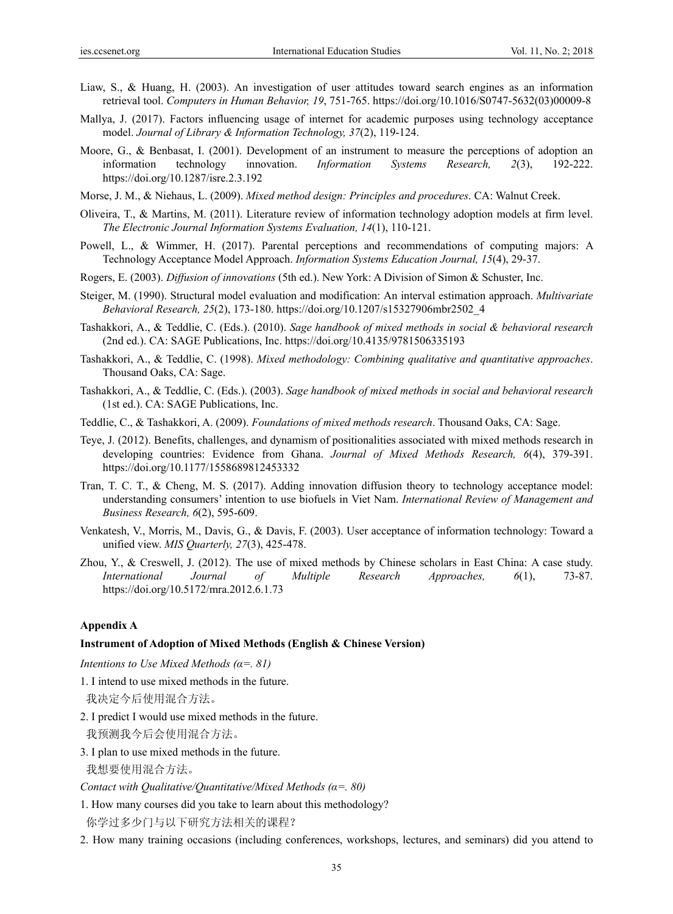- Liaw, S., & Huang, H. (2003). An investigation of user attitudes toward search engines as an information retrieval tool. *Computers in Human Behavior, 19*, 751-765. https://doi.org/10.1016/S0747-5632(03)00009-8
- Mallya, J. (2017). Factors influencing usage of internet for academic purposes using technology acceptance model. *Journal of Library & Information Technology, 37*(2), 119-124.
- Moore, G., & Benbasat, I. (2001). Development of an instrument to measure the perceptions of adoption an information technology innovation. *Information Systems Research, 2*(3), 192-222. https://doi.org/10.1287/isre.2.3.192
- Morse, J. M., & Niehaus, L. (2009). *Mixed method design: Principles and procedures*. CA: Walnut Creek.
- Oliveira, T., & Martins, M. (2011). Literature review of information technology adoption models at firm level. *The Electronic Journal Information Systems Evaluation, 14*(1), 110-121.
- Powell, L., & Wimmer, H. (2017). Parental perceptions and recommendations of computing majors: A Technology Acceptance Model Approach. *Information Systems Education Journal, 15*(4), 29-37.
- Rogers, E. (2003). *Diffusion of innovations* (5th ed.). New York: A Division of Simon & Schuster, Inc.
- Steiger, M. (1990). Structural model evaluation and modification: An interval estimation approach. *Multivariate Behavioral Research, 25*(2), 173-180. https://doi.org/10.1207/s15327906mbr2502\_4
- Tashakkori, A., & Teddlie, C. (Eds.). (2010). *Sage handbook of mixed methods in social & behavioral research*  (2nd ed.). CA: SAGE Publications, Inc. https://doi.org/10.4135/9781506335193
- Tashakkori, A., & Teddlie, C. (1998). *Mixed methodology: Combining qualitative and quantitative approaches*. Thousand Oaks, CA: Sage.
- Tashakkori, A., & Teddlie, C. (Eds.). (2003). *Sage handbook of mixed methods in social and behavioral research*  (1st ed.). CA: SAGE Publications, Inc.
- Teddlie, C., & Tashakkori, A. (2009). *Foundations of mixed methods research*. Thousand Oaks, CA: Sage.
- Teye, J. (2012). Benefits, challenges, and dynamism of positionalities associated with mixed methods research in developing countries: Evidence from Ghana. *Journal of Mixed Methods Research, 6*(4), 379-391. https://doi.org/10.1177/1558689812453332
- Tran, T. C. T., & Cheng, M. S. (2017). Adding innovation diffusion theory to technology acceptance model: understanding consumers' intention to use biofuels in Viet Nam. *International Review of Management and Business Research, 6*(2), 595-609.
- Venkatesh, V., Morris, M., Davis, G., & Davis, F. (2003). User acceptance of information technology: Toward a unified view. *MIS Quarterly, 27*(3), 425-478.
- Zhou, Y., & Creswell, J. (2012). The use of mixed methods by Chinese scholars in East China: A case study. *International Journal of Multiple Research Approaches, 6*(1), 73-87. https://doi.org/10.5172/mra.2012.6.1.73

#### **Appendix A**

#### **Instrument of Adoption of Mixed Methods (English & Chinese Version)**

*Intentions to Use Mixed Methods (α=. 81)* 

1. I intend to use mixed methods in the future.

我决定今后使用混合方法。

- 2. I predict I would use mixed methods in the future. 我预测我今后会使用混合方法。
- 3. I plan to use mixed methods in the future. 我想要使用混合方法。

*Contact with Qualitative/Quantitative/Mixed Methods (α=. 80)* 

- 1. How many courses did you take to learn about this methodology? 你学过多少门与以下研究方法相关的课程?
- 2. How many training occasions (including conferences, workshops, lectures, and seminars) did you attend to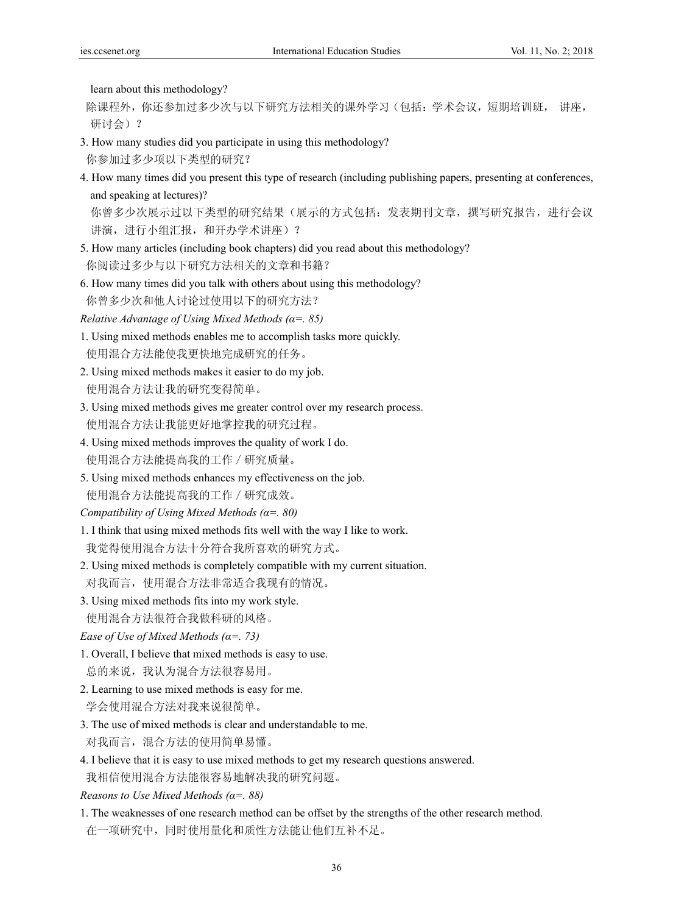learn about this methodology?

- 除课程外,你还参加过多少次与以下研究方法相关的课外学习(包括:学术会议,短期培训班, 讲座, 研讨会)?
- 3. How many studies did you participate in using this methodology? 你参加过多少项以下类型的研究?
- 4. How many times did you present this type of research (including publishing papers, presenting at conferences, and speaking at lectures)?

你曾多少次展示过以下类型的研究结果(展示的方式包括:发表期刊文章,撰写研究报告,进行会议 讲演,进行小组汇报,和开办学术讲座)?

- 5. How many articles (including book chapters) did you read about this methodology? 你阅读过多少与以下研究方法相关的文章和书籍?
- 6. How many times did you talk with others about using this methodology? 你曾多少次和他人讨论过使用以下的研究方法?

*Relative Advantage of Using Mixed Methods (α=. 85)* 

- 1. Using mixed methods enables me to accomplish tasks more quickly. 使用混合方法能使我更快地完成研究的任务。
- 2. Using mixed methods makes it easier to do my job. 使用混合方法让我的研究变得简单。
- 3. Using mixed methods gives me greater control over my research process. 使用混合方法让我能更好地掌控我的研究过程。
- 4. Using mixed methods improves the quality of work I do. 使用混合方法能提高我的工作/研究质量。
- 5. Using mixed methods enhances my effectiveness on the job. 使用混合方法能提高我的工作/研究成效。
- *Compatibility of Using Mixed Methods (α=. 80)*
- 1. I think that using mixed methods fits well with the way I like to work. 我觉得使用混合方法十分符合我所喜欢的研究方式。
- 2. Using mixed methods is completely compatible with my current situation. 对我而言,使用混合方法非常适合我现有的情况。
- 3. Using mixed methods fits into my work style.
- 使用混合方法很符合我做科研的风格。
- *Ease of Use of Mixed Methods (α=. 73)*
- 1. Overall, I believe that mixed methods is easy to use. 总的来说,我认为混合方法很容易用。
- 2. Learning to use mixed methods is easy for me.

学会使用混合方法对我来说很简单。

- 3. The use of mixed methods is clear and understandable to me.
- 对我而言,混合方法的使用简单易懂。
- 4. I believe that it is easy to use mixed methods to get my research questions answered. 我相信使用混合方法能很容易地解决我的研究问题。

*Reasons to Use Mixed Methods (α=. 88)* 

1. The weaknesses of one research method can be offset by the strengths of the other research method. 在一项研究中,同时使用量化和质性方法能让他们互补不足。